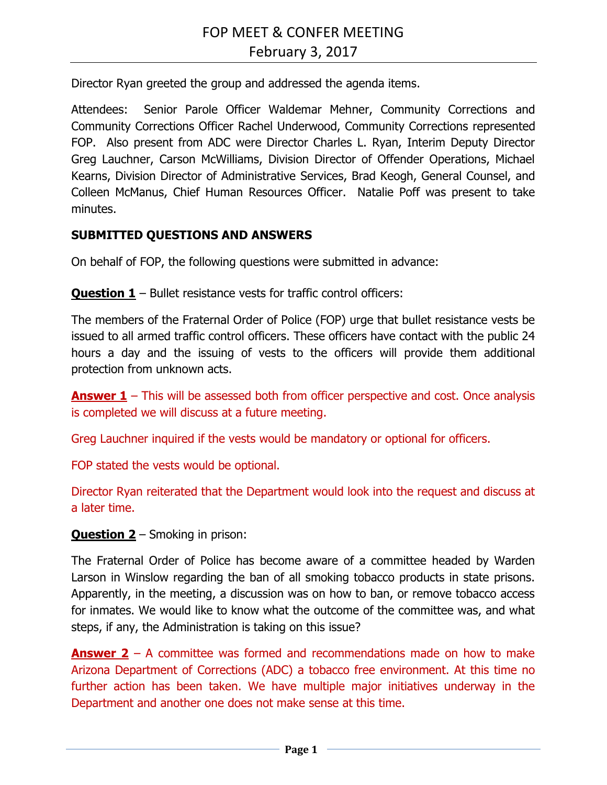Director Ryan greeted the group and addressed the agenda items.

Attendees: Senior Parole Officer Waldemar Mehner, Community Corrections and Community Corrections Officer Rachel Underwood, Community Corrections represented FOP. Also present from ADC were Director Charles L. Ryan, Interim Deputy Director Greg Lauchner, Carson McWilliams, Division Director of Offender Operations, Michael Kearns, Division Director of Administrative Services, Brad Keogh, General Counsel, and Colleen McManus, Chief Human Resources Officer. Natalie Poff was present to take minutes.

# **SUBMITTED QUESTIONS AND ANSWERS**

On behalf of FOP, the following questions were submitted in advance:

**Question 1** – Bullet resistance vests for traffic control officers:

The members of the Fraternal Order of Police (FOP) urge that bullet resistance vests be issued to all armed traffic control officers. These officers have contact with the public 24 hours a day and the issuing of vests to the officers will provide them additional protection from unknown acts.

**Answer 1** – This will be assessed both from officer perspective and cost. Once analysis is completed we will discuss at a future meeting.

Greg Lauchner inquired if the vests would be mandatory or optional for officers.

FOP stated the vests would be optional.

Director Ryan reiterated that the Department would look into the request and discuss at a later time.

**Question 2** – Smoking in prison:

The Fraternal Order of Police has become aware of a committee headed by Warden Larson in Winslow regarding the ban of all smoking tobacco products in state prisons. Apparently, in the meeting, a discussion was on how to ban, or remove tobacco access for inmates. We would like to know what the outcome of the committee was, and what steps, if any, the Administration is taking on this issue?

**Answer 2** – A committee was formed and recommendations made on how to make Arizona Department of Corrections (ADC) a tobacco free environment. At this time no further action has been taken. We have multiple major initiatives underway in the Department and another one does not make sense at this time.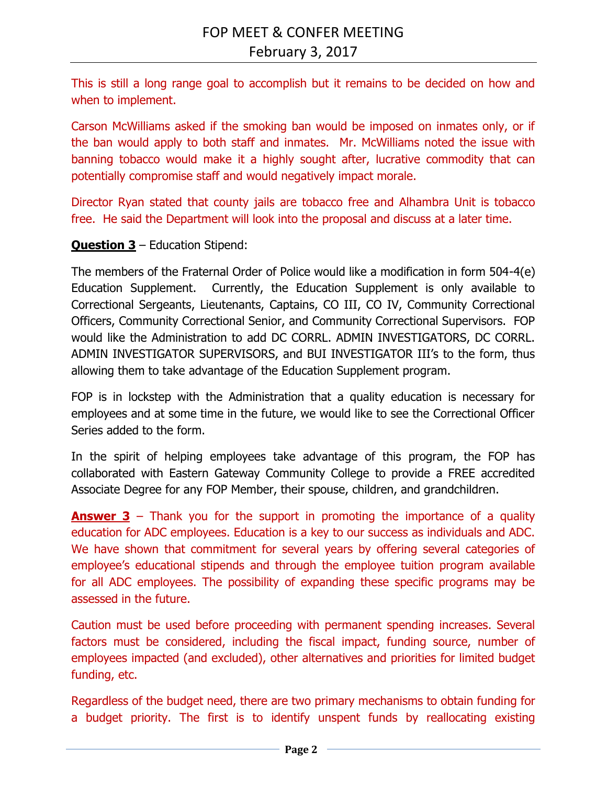This is still a long range goal to accomplish but it remains to be decided on how and when to implement.

Carson McWilliams asked if the smoking ban would be imposed on inmates only, or if the ban would apply to both staff and inmates. Mr. McWilliams noted the issue with banning tobacco would make it a highly sought after, lucrative commodity that can potentially compromise staff and would negatively impact morale.

Director Ryan stated that county jails are tobacco free and Alhambra Unit is tobacco free. He said the Department will look into the proposal and discuss at a later time.

## **Question 3** – Education Stipend:

The members of the Fraternal Order of Police would like a modification in form 504-4(e) Education Supplement. Currently, the Education Supplement is only available to Correctional Sergeants, Lieutenants, Captains, CO III, CO IV, Community Correctional Officers, Community Correctional Senior, and Community Correctional Supervisors. FOP would like the Administration to add DC CORRL. ADMIN INVESTIGATORS, DC CORRL. ADMIN INVESTIGATOR SUPERVISORS, and BUI INVESTIGATOR III's to the form, thus allowing them to take advantage of the Education Supplement program.

FOP is in lockstep with the Administration that a quality education is necessary for employees and at some time in the future, we would like to see the Correctional Officer Series added to the form.

In the spirit of helping employees take advantage of this program, the FOP has collaborated with Eastern Gateway Community College to provide a FREE accredited Associate Degree for any FOP Member, their spouse, children, and grandchildren.

**Answer 3** – Thank you for the support in promoting the importance of a quality education for ADC employees. Education is a key to our success as individuals and ADC. We have shown that commitment for several years by offering several categories of employee's educational stipends and through the employee tuition program available for all ADC employees. The possibility of expanding these specific programs may be assessed in the future.

Caution must be used before proceeding with permanent spending increases. Several factors must be considered, including the fiscal impact, funding source, number of employees impacted (and excluded), other alternatives and priorities for limited budget funding, etc.

Regardless of the budget need, there are two primary mechanisms to obtain funding for a budget priority. The first is to identify unspent funds by reallocating existing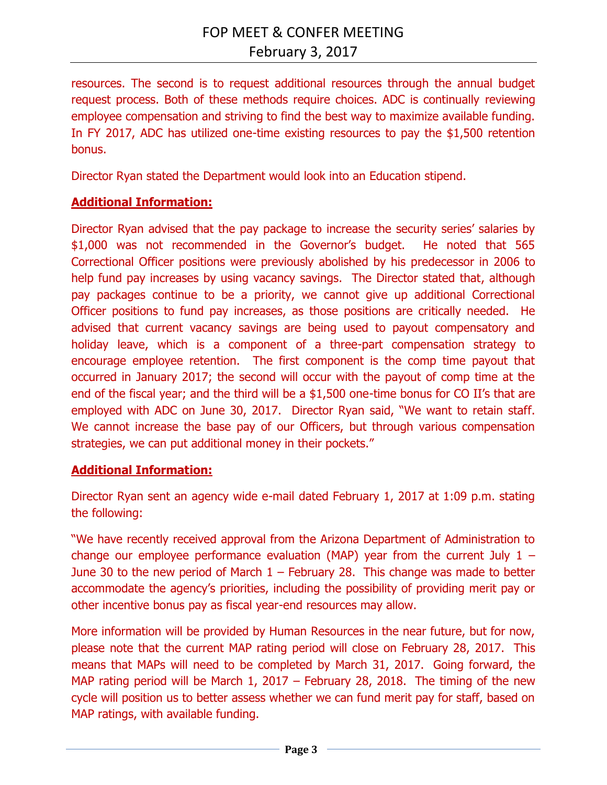resources. The second is to request additional resources through the annual budget request process. Both of these methods require choices. ADC is continually reviewing employee compensation and striving to find the best way to maximize available funding. In FY 2017, ADC has utilized one-time existing resources to pay the \$1,500 retention bonus.

Director Ryan stated the Department would look into an Education stipend.

### **Additional Information:**

Director Ryan advised that the pay package to increase the security series' salaries by \$1,000 was not recommended in the Governor's budget. He noted that 565 Correctional Officer positions were previously abolished by his predecessor in 2006 to help fund pay increases by using vacancy savings. The Director stated that, although pay packages continue to be a priority, we cannot give up additional Correctional Officer positions to fund pay increases, as those positions are critically needed. He advised that current vacancy savings are being used to payout compensatory and holiday leave, which is a component of a three-part compensation strategy to encourage employee retention. The first component is the comp time payout that occurred in January 2017; the second will occur with the payout of comp time at the end of the fiscal year; and the third will be a \$1,500 one-time bonus for CO II's that are employed with ADC on June 30, 2017. Director Ryan said, "We want to retain staff. We cannot increase the base pay of our Officers, but through various compensation strategies, we can put additional money in their pockets."

#### **Additional Information:**

Director Ryan sent an agency wide e-mail dated February 1, 2017 at 1:09 p.m. stating the following:

"We have recently received approval from the Arizona Department of Administration to change our employee performance evaluation (MAP) year from the current July  $1 -$ June 30 to the new period of March  $1$  – February 28. This change was made to better accommodate the agency's priorities, including the possibility of providing merit pay or other incentive bonus pay as fiscal year-end resources may allow.

More information will be provided by Human Resources in the near future, but for now, please note that the current MAP rating period will close on February 28, 2017. This means that MAPs will need to be completed by March 31, 2017. Going forward, the MAP rating period will be March 1, 2017 – February 28, 2018. The timing of the new cycle will position us to better assess whether we can fund merit pay for staff, based on MAP ratings, with available funding.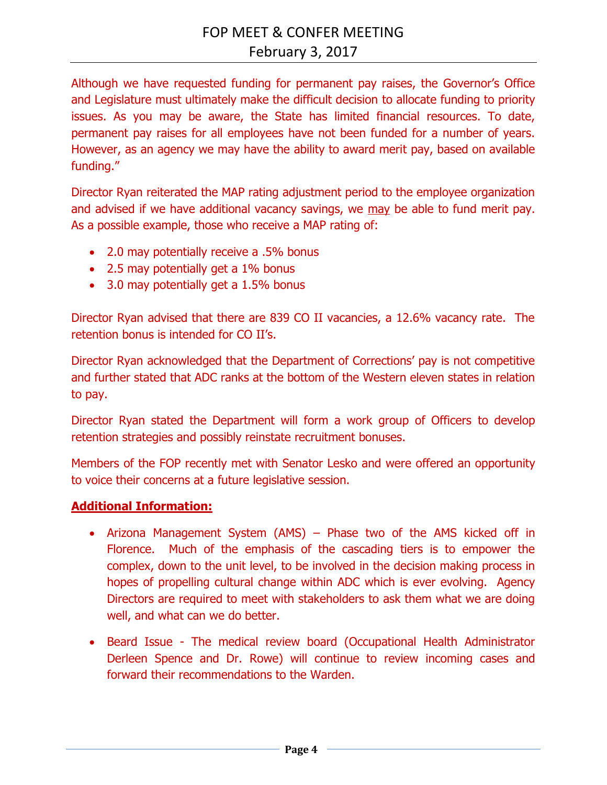Although we have requested funding for permanent pay raises, the Governor's Office and Legislature must ultimately make the difficult decision to allocate funding to priority issues. As you may be aware, the State has limited financial resources. To date, permanent pay raises for all employees have not been funded for a number of years. However, as an agency we may have the ability to award merit pay, based on available funding."

Director Ryan reiterated the MAP rating adjustment period to the employee organization and advised if we have additional vacancy savings, we may be able to fund merit pay. As a possible example, those who receive a MAP rating of:

- 2.0 may potentially receive a .5% bonus
- 2.5 may potentially get a 1% bonus
- 3.0 may potentially get a 1.5% bonus

Director Ryan advised that there are 839 CO II vacancies, a 12.6% vacancy rate. The retention bonus is intended for CO II's.

Director Ryan acknowledged that the Department of Corrections' pay is not competitive and further stated that ADC ranks at the bottom of the Western eleven states in relation to pay.

Director Ryan stated the Department will form a work group of Officers to develop retention strategies and possibly reinstate recruitment bonuses.

Members of the FOP recently met with Senator Lesko and were offered an opportunity to voice their concerns at a future legislative session.

## **Additional Information:**

- Arizona Management System (AMS) Phase two of the AMS kicked off in Florence. Much of the emphasis of the cascading tiers is to empower the complex, down to the unit level, to be involved in the decision making process in hopes of propelling cultural change within ADC which is ever evolving. Agency Directors are required to meet with stakeholders to ask them what we are doing well, and what can we do better.
- Beard Issue The medical review board (Occupational Health Administrator Derleen Spence and Dr. Rowe) will continue to review incoming cases and forward their recommendations to the Warden.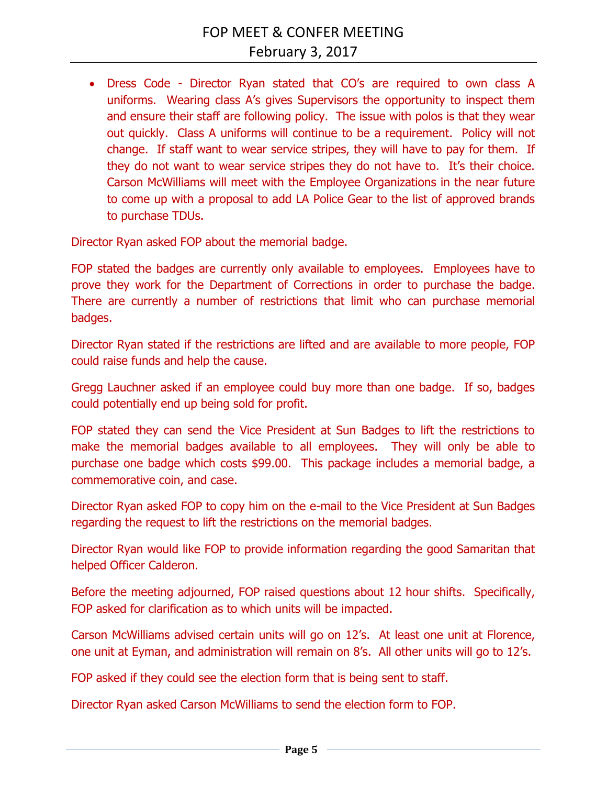Dress Code - Director Ryan stated that CO's are required to own class A uniforms. Wearing class A's gives Supervisors the opportunity to inspect them and ensure their staff are following policy. The issue with polos is that they wear out quickly. Class A uniforms will continue to be a requirement. Policy will not change. If staff want to wear service stripes, they will have to pay for them. If they do not want to wear service stripes they do not have to. It's their choice. Carson McWilliams will meet with the Employee Organizations in the near future to come up with a proposal to add LA Police Gear to the list of approved brands to purchase TDUs.

Director Ryan asked FOP about the memorial badge.

FOP stated the badges are currently only available to employees. Employees have to prove they work for the Department of Corrections in order to purchase the badge. There are currently a number of restrictions that limit who can purchase memorial badges.

Director Ryan stated if the restrictions are lifted and are available to more people, FOP could raise funds and help the cause.

Gregg Lauchner asked if an employee could buy more than one badge. If so, badges could potentially end up being sold for profit.

FOP stated they can send the Vice President at Sun Badges to lift the restrictions to make the memorial badges available to all employees. They will only be able to purchase one badge which costs \$99.00. This package includes a memorial badge, a commemorative coin, and case.

Director Ryan asked FOP to copy him on the e-mail to the Vice President at Sun Badges regarding the request to lift the restrictions on the memorial badges.

Director Ryan would like FOP to provide information regarding the good Samaritan that helped Officer Calderon.

Before the meeting adjourned, FOP raised questions about 12 hour shifts. Specifically, FOP asked for clarification as to which units will be impacted.

Carson McWilliams advised certain units will go on 12's. At least one unit at Florence, one unit at Eyman, and administration will remain on 8's. All other units will go to 12's.

FOP asked if they could see the election form that is being sent to staff.

Director Ryan asked Carson McWilliams to send the election form to FOP.